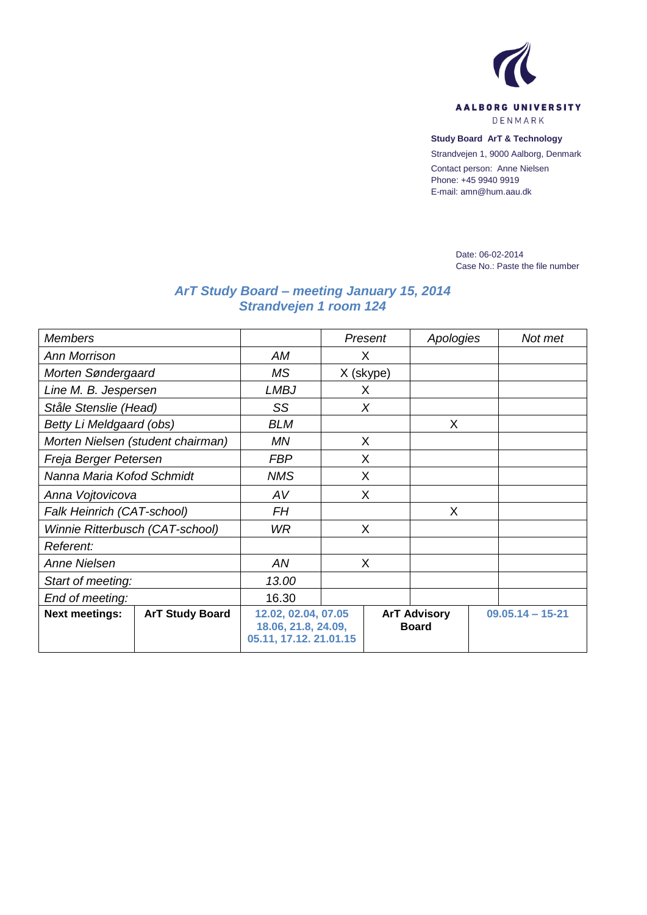

**Study Board ArT & Technology** Strandvejen 1, 9000 Aalborg, Denmark

Contact person: Anne Nielsen

Phone: +45 9940 9919 E-mail: amn@hum.aau.dk

> Date: 06-02-2014 Case No.: Paste the file number

## *ArT Study Board – meeting January 15, 2014 Strandvejen 1 room 124*

| <b>Members</b>                    |                        |                                                                      | Present   |                                     | Apologies |                    | Not met |
|-----------------------------------|------------------------|----------------------------------------------------------------------|-----------|-------------------------------------|-----------|--------------------|---------|
| <b>Ann Morrison</b>               |                        | AM                                                                   | X         |                                     |           |                    |         |
| Morten Søndergaard                |                        | <b>MS</b>                                                            | X (skype) |                                     |           |                    |         |
| Line M. B. Jespersen              |                        | <b>LMBJ</b>                                                          | X         |                                     |           |                    |         |
| Ståle Stenslie (Head)             |                        | SS                                                                   | $\chi$    |                                     |           |                    |         |
| Betty Li Meldgaard (obs)          |                        | <b>BLM</b>                                                           |           |                                     | X         |                    |         |
| Morten Nielsen (student chairman) |                        | ΜN                                                                   | X         |                                     |           |                    |         |
| Freja Berger Petersen             |                        | <b>FBP</b>                                                           | X         |                                     |           |                    |         |
| Nanna Maria Kofod Schmidt         |                        | <b>NMS</b>                                                           | X         |                                     |           |                    |         |
| Anna Vojtovicova                  |                        | AV                                                                   | X         |                                     |           |                    |         |
| Falk Heinrich (CAT-school)        |                        | <b>FH</b>                                                            |           |                                     | X         |                    |         |
| Winnie Ritterbusch (CAT-school)   |                        | WR.                                                                  | X         |                                     |           |                    |         |
| <i>Referent:</i>                  |                        |                                                                      |           |                                     |           |                    |         |
| Anne Nielsen                      |                        | AN                                                                   | X         |                                     |           |                    |         |
| Start of meeting:                 |                        | 13.00                                                                |           |                                     |           |                    |         |
| End of meeting:                   |                        | 16.30                                                                |           |                                     |           |                    |         |
| <b>Next meetings:</b>             | <b>ArT Study Board</b> | 12.02, 02.04, 07.05<br>18.06, 21.8, 24.09,<br>05.11, 17.12. 21.01.15 |           | <b>ArT Advisory</b><br><b>Board</b> |           | $09.05.14 - 15-21$ |         |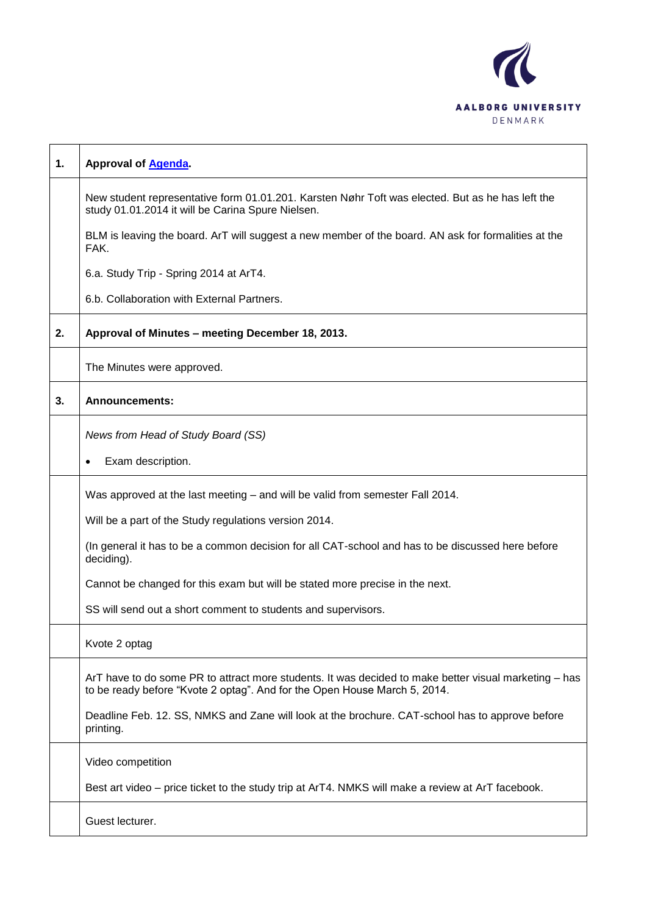

| $\mathbf 1$ . | <b>Approval of Agenda</b>                                                                                                                                                          |
|---------------|------------------------------------------------------------------------------------------------------------------------------------------------------------------------------------|
|               | New student representative form 01.01.201. Karsten Nøhr Toft was elected. But as he has left the<br>study 01.01.2014 it will be Carina Spure Nielsen.                              |
|               | BLM is leaving the board. ArT will suggest a new member of the board. AN ask for formalities at the<br>FAK.                                                                        |
|               | 6.a. Study Trip - Spring 2014 at ArT4.                                                                                                                                             |
|               | 6.b. Collaboration with External Partners.                                                                                                                                         |
| 2.            | Approval of Minutes - meeting December 18, 2013.                                                                                                                                   |
|               | The Minutes were approved.                                                                                                                                                         |
| 3.            | <b>Announcements:</b>                                                                                                                                                              |
|               | News from Head of Study Board (SS)                                                                                                                                                 |
|               | Exam description.<br>$\bullet$                                                                                                                                                     |
|               | Was approved at the last meeting - and will be valid from semester Fall 2014.                                                                                                      |
|               | Will be a part of the Study regulations version 2014.                                                                                                                              |
|               | (In general it has to be a common decision for all CAT-school and has to be discussed here before<br>deciding).                                                                    |
|               | Cannot be changed for this exam but will be stated more precise in the next.                                                                                                       |
|               | SS will send out a short comment to students and supervisors.                                                                                                                      |
|               | Kvote 2 optag                                                                                                                                                                      |
|               | ArT have to do some PR to attract more students. It was decided to make better visual marketing - has<br>to be ready before "Kvote 2 optag". And for the Open House March 5, 2014. |
|               | Deadline Feb. 12. SS, NMKS and Zane will look at the brochure. CAT-school has to approve before<br>printing.                                                                       |
|               | Video competition                                                                                                                                                                  |
|               | Best art video – price ticket to the study trip at ArT4. NMKS will make a review at ArT facebook.                                                                                  |
|               | Guest lecturer.                                                                                                                                                                    |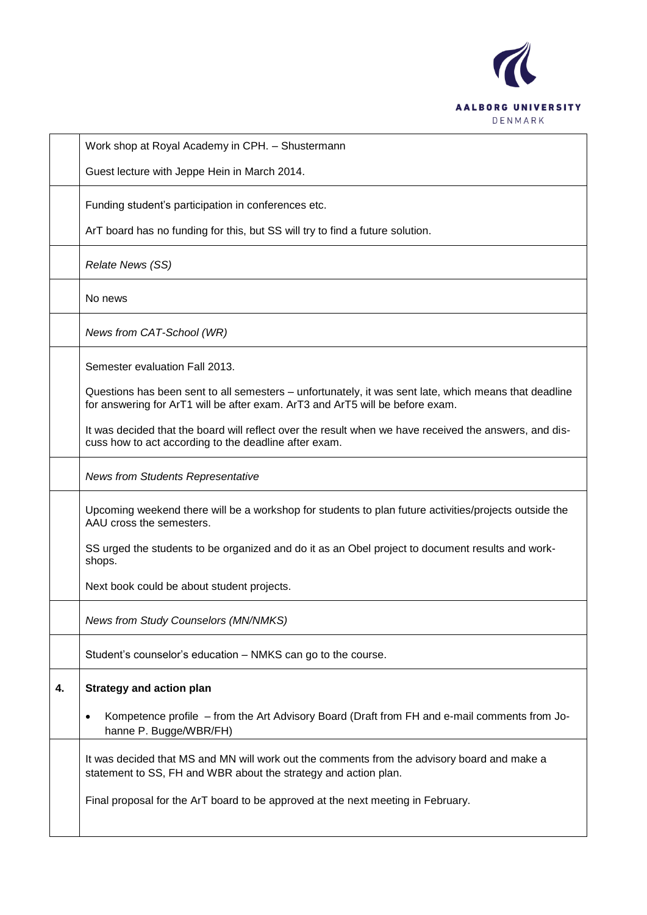

Work shop at Royal Academy in CPH. – Shustermann Guest lecture with Jeppe Hein in March 2014. Funding student's participation in conferences etc. ArT board has no funding for this, but SS will try to find a future solution. *Relate News (SS)* No news *News from CAT-School (WR)* Semester evaluation Fall 2013. Questions has been sent to all semesters – unfortunately, it was sent late, which means that deadline for answering for ArT1 will be after exam. ArT3 and ArT5 will be before exam. It was decided that the board will reflect over the result when we have received the answers, and discuss how to act according to the deadline after exam. *News from Students Representative* Upcoming weekend there will be a workshop for students to plan future activities/projects outside the AAU cross the semesters. SS urged the students to be organized and do it as an Obel project to document results and workshops. Next book could be about student projects. *News from Study Counselors (MN/NMKS)* Student's counselor's education – NMKS can go to the course. **4. Strategy and action plan** Kompetence profile – from the Art Advisory Board (Draft from FH and e-mail comments from Johanne P. Bugge/WBR/FH) It was decided that MS and MN will work out the comments from the advisory board and make a statement to SS, FH and WBR about the strategy and action plan. Final proposal for the ArT board to be approved at the next meeting in February.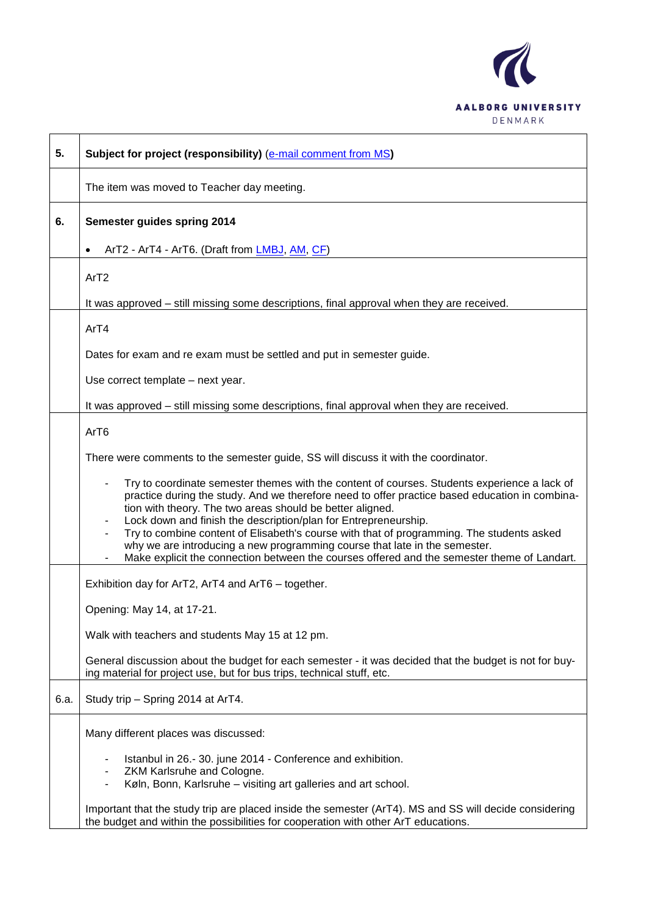

| 5.   | Subject for project (responsibility) (e-mail comment from MS)                                                                                                                                                                                                                                                                                                                                                                                                                                                                                                                                            |
|------|----------------------------------------------------------------------------------------------------------------------------------------------------------------------------------------------------------------------------------------------------------------------------------------------------------------------------------------------------------------------------------------------------------------------------------------------------------------------------------------------------------------------------------------------------------------------------------------------------------|
|      | The item was moved to Teacher day meeting.                                                                                                                                                                                                                                                                                                                                                                                                                                                                                                                                                               |
| 6.   | Semester guides spring 2014                                                                                                                                                                                                                                                                                                                                                                                                                                                                                                                                                                              |
|      | ArT2 - ArT4 - ArT6. (Draft from LMBJ, AM, CF)<br>$\bullet$                                                                                                                                                                                                                                                                                                                                                                                                                                                                                                                                               |
|      | ArT <sub>2</sub>                                                                                                                                                                                                                                                                                                                                                                                                                                                                                                                                                                                         |
|      | It was approved – still missing some descriptions, final approval when they are received.                                                                                                                                                                                                                                                                                                                                                                                                                                                                                                                |
|      | ArT4                                                                                                                                                                                                                                                                                                                                                                                                                                                                                                                                                                                                     |
|      | Dates for exam and re exam must be settled and put in semester guide.                                                                                                                                                                                                                                                                                                                                                                                                                                                                                                                                    |
|      | Use correct template - next year.                                                                                                                                                                                                                                                                                                                                                                                                                                                                                                                                                                        |
|      | It was approved - still missing some descriptions, final approval when they are received.                                                                                                                                                                                                                                                                                                                                                                                                                                                                                                                |
|      | ArT6                                                                                                                                                                                                                                                                                                                                                                                                                                                                                                                                                                                                     |
|      | There were comments to the semester guide, SS will discuss it with the coordinator.                                                                                                                                                                                                                                                                                                                                                                                                                                                                                                                      |
|      | Try to coordinate semester themes with the content of courses. Students experience a lack of<br>practice during the study. And we therefore need to offer practice based education in combina-<br>tion with theory. The two areas should be better aligned.<br>Lock down and finish the description/plan for Entrepreneurship.<br>Try to combine content of Elisabeth's course with that of programming. The students asked<br>why we are introducing a new programming course that late in the semester.<br>Make explicit the connection between the courses offered and the semester theme of Landart. |
|      | Exhibition day for ArT2, ArT4 and ArT6 - together.                                                                                                                                                                                                                                                                                                                                                                                                                                                                                                                                                       |
|      | Opening: May 14, at 17-21.                                                                                                                                                                                                                                                                                                                                                                                                                                                                                                                                                                               |
|      | Walk with teachers and students May 15 at 12 pm.                                                                                                                                                                                                                                                                                                                                                                                                                                                                                                                                                         |
|      | General discussion about the budget for each semester - it was decided that the budget is not for buy-<br>ing material for project use, but for bus trips, technical stuff, etc.                                                                                                                                                                                                                                                                                                                                                                                                                         |
| 6.a. | Study trip - Spring 2014 at ArT4.                                                                                                                                                                                                                                                                                                                                                                                                                                                                                                                                                                        |
|      | Many different places was discussed:                                                                                                                                                                                                                                                                                                                                                                                                                                                                                                                                                                     |
|      | Istanbul in 26.-30. june 2014 - Conference and exhibition.<br>ZKM Karlsruhe and Cologne.<br>٠<br>Køln, Bonn, Karlsruhe - visiting art galleries and art school.<br>۰.                                                                                                                                                                                                                                                                                                                                                                                                                                    |
|      | Important that the study trip are placed inside the semester (ArT4). MS and SS will decide considering<br>the budget and within the possibilities for cooperation with other ArT educations.                                                                                                                                                                                                                                                                                                                                                                                                             |